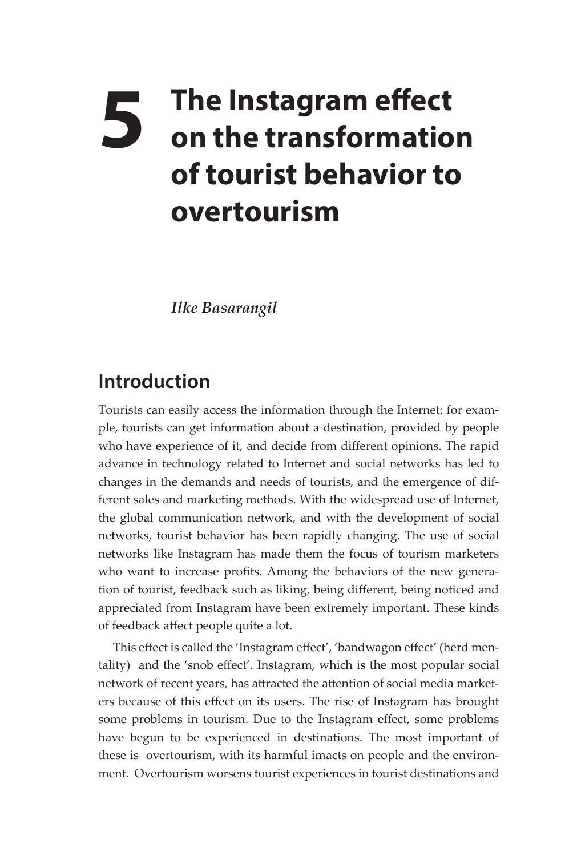## **5** The Instagram effect on the transformation **on the transformation of tourist behavior to overtourism**

*Ilke Basarangil*

## **Introduction**

Tourists can easily access the information through the Internet; for example, tourists can get information about a destination, provided by people who have experience of it, and decide from different opinions. The rapid advance in technology related to Internet and social networks has led to changes in the demands and needs of tourists, and the emergence of different sales and marketing methods. With the widespread use of Internet, the global communication network, and with the development of social networks, tourist behavior has been rapidly changing. The use of social networks like Instagram has made them the focus of tourism marketers who want to increase profits. Among the behaviors of the new generation of tourist, feedback such as liking, being different, being noticed and appreciated from Instagram have been extremely important. These kinds of feedback affect people quite a lot.

This effect is called the 'Instagram effect', 'bandwagon effect' (herd mentality) and the 'snob effect'. Instagram, which is the most popular social network of recent years, has attracted the attention of social media marketers because of this effect on its users. The rise of Instagram has brought some problems in tourism. Due to the Instagram effect, some problems have begun to be experienced in destinations. The most important of these is overtourism, with its harmful imacts on people and the environment. Overtourism worsens tourist experiences in tourist destinations and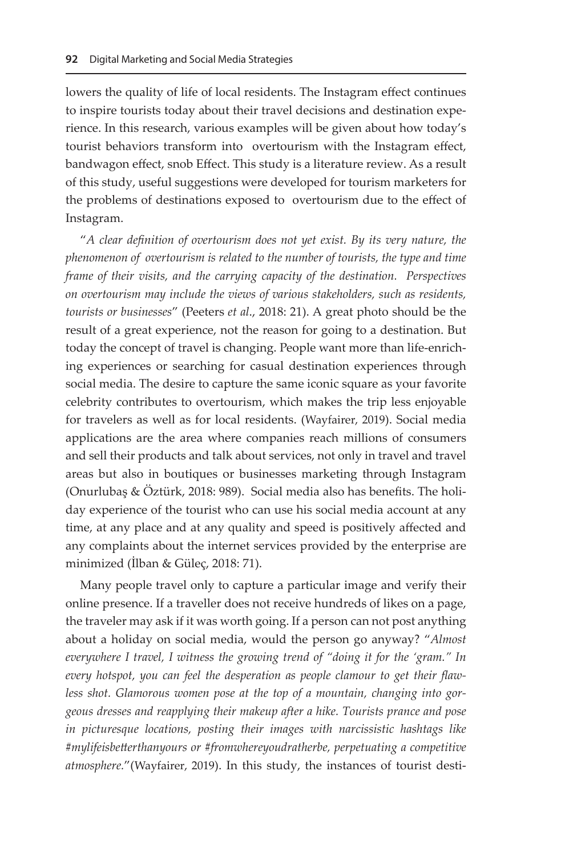lowers the quality of life of local residents. The Instagram effect continues to inspire tourists today about their travel decisions and destination experience. In this research, various examples will be given about how today's tourist behaviors transform into overtourism with the Instagram effect, bandwagon effect, snob Effect. This study is a literature review. As a result of this study, useful suggestions were developed for tourism marketers for the problems of destinations exposed to overtourism due to the effect of Instagram.

"*A clear definition of overtourism does not yet exist. By its very nature, the phenomenon of overtourism is related to the number of tourists, the type and time frame of their visits, and the carrying capacity of the destination. Perspectives on overtourism may include the views of various stakeholders, such as residents, tourists or businesses*" (Peeters *et al*., 2018: 21). A great photo should be the result of a great experience, not the reason for going to a destination. But today the concept of travel is changing. People want more than life-enriching experiences or searching for casual destination experiences through social media. The desire to capture the same iconic square as your favorite celebrity contributes to overtourism, which makes the trip less enjoyable for travelers as well as for local residents. (Wayfairer, 2019). Social media applications are the area where companies reach millions of consumers and sell their products and talk about services, not only in travel and travel areas but also in boutiques or businesses marketing through Instagram (Onurlubaş & Öztürk, 2018: 989). Social media also has benefits. The holiday experience of the tourist who can use his social media account at any time, at any place and at any quality and speed is positively affected and any complaints about the internet services provided by the enterprise are minimized (İlban & Güleç, 2018: 71).

Many people travel only to capture a particular image and verify their online presence. If a traveller does not receive hundreds of likes on a page, the traveler may ask if it was worth going. If a person can not post anything about a holiday on social media, would the person go anyway? "*Almost everywhere I travel, I witness the growing trend of "doing it for the 'gram." In every hotspot, you can feel the desperation as people clamour to get their flawless shot. Glamorous women pose at the top of a mountain, changing into gorgeous dresses and reapplying their makeup after a hike. Tourists prance and pose in picturesque locations, posting their images with narcissistic hashtags like #mylifeisbetterthanyours or #fromwhereyoudratherbe, perpetuating a competitive atmosphere.*"(Wayfairer, 2019). In this study, the instances of tourist desti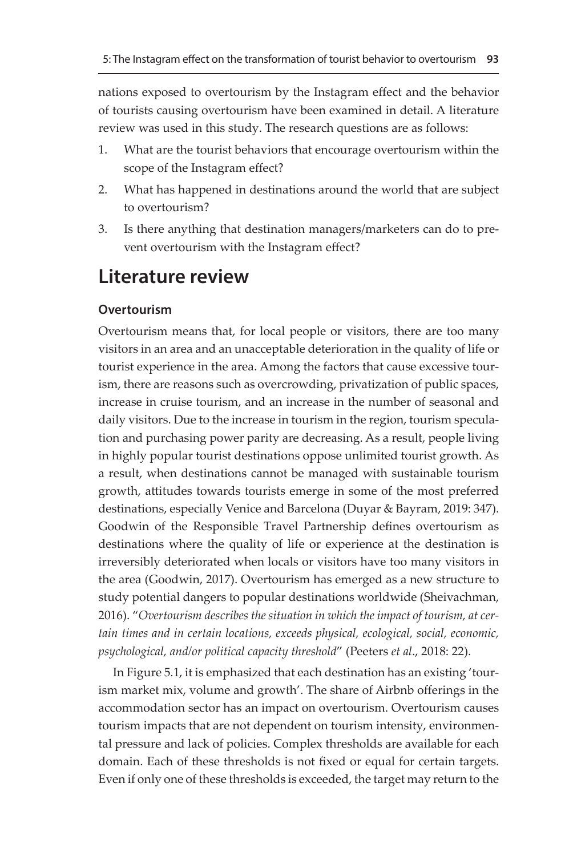nations exposed to overtourism by the Instagram effect and the behavior of tourists causing overtourism have been examined in detail. A literature review was used in this study. The research questions are as follows:

- 1. What are the tourist behaviors that encourage overtourism within the scope of the Instagram effect?
- 2. What has happened in destinations around the world that are subject to overtourism?
- 3. Is there anything that destination managers/marketers can do to prevent overtourism with the Instagram effect?

## **Literature review**

## **Overtourism**

Overtourism means that, for local people or visitors, there are too many visitors in an area and an unacceptable deterioration in the quality of life or tourist experience in the area. Among the factors that cause excessive tourism, there are reasons such as overcrowding, privatization of public spaces, increase in cruise tourism, and an increase in the number of seasonal and daily visitors. Due to the increase in tourism in the region, tourism speculation and purchasing power parity are decreasing. As a result, people living in highly popular tourist destinations oppose unlimited tourist growth. As a result, when destinations cannot be managed with sustainable tourism growth, attitudes towards tourists emerge in some of the most preferred destinations, especially Venice and Barcelona (Duyar & Bayram, 2019: 347). Goodwin of the Responsible Travel Partnership defines overtourism as destinations where the quality of life or experience at the destination is irreversibly deteriorated when locals or visitors have too many visitors in the area (Goodwin, 2017). Overtourism has emerged as a new structure to study potential dangers to popular destinations worldwide (Sheivachman, 2016). "*Overtourism describes the situation in which the impact of tourism, at certain times and in certain locations, exceeds physical, ecological, social, economic, psychological, and/or political capacity threshold*" (Peeters *et al*., 2018: 22).

In Figure 5.1, it is emphasized that each destination has an existing 'tourism market mix, volume and growth'. The share of Airbnb offerings in the accommodation sector has an impact on overtourism. Overtourism causes tourism impacts that are not dependent on tourism intensity, environmental pressure and lack of policies. Complex thresholds are available for each domain. Each of these thresholds is not fixed or equal for certain targets. Even if only one of these thresholds is exceeded, the target may return to the